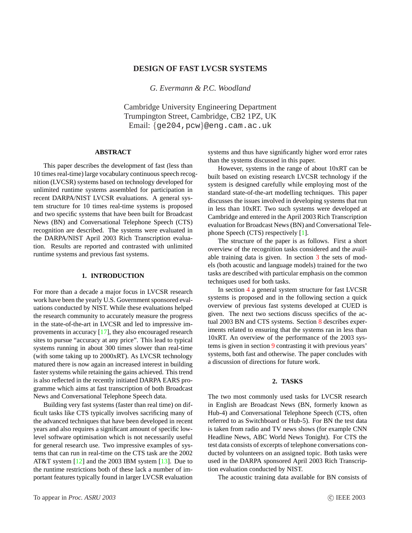# **DESIGN OF FAST LVCSR SYSTEMS**

*G. Evermann & P.C. Woodland*

Cambridge University Engineering Department Trumpington Street, Cambridge, CB2 1PZ, UK Email: {ge204,pcw}@eng.cam.ac.uk

## **ABSTRACT**

This paper describes the development of fast (less than 10 times real-time) large vocabulary continuous speech recognition (LVCSR) systems based on technology developed for unlimited runtime systems assembled for participation in recent DARPA/NIST LVCSR evaluations. A general system structure for 10 times real-time systems is proposed and two specific systems that have been built for Broadcast News (BN) and Conversational Telephone Speech (CTS) recognition are described. The systems were evaluated in the DARPA/NIST April 2003 Rich Transcription evaluation. Results are reported and contrasted with unlimited runtime systems and previous fast systems.

#### **1. INTRODUCTION**

For more than a decade a major focus in LVCSR research work have been the yearly U.S. Government sponsored evaluations conducted by NIST. While these evaluations helped the research community to accurately measure the progress in the state-of-the-art in LVCSR and led to impressive improvements in accuracy [\[17\]](#page-5-0), they also encouraged research sites to pursue "accuracy at any price". This lead to typical systems running in about 300 times slower than real-time (with some taking up to 2000xRT). As LVCSR technology matured there is now again an increased interest in building faster systems while retaining the gains achieved. This trend is also reflected in the recently initiated DARPA EARS programme which aims at fast transcription of both Broadcast News and Conversational Telephone Speech data.

Building very fast systems (faster than real time) on difficult tasks like CTS typically involves sacrificing many of the advanced techniques that have been developed in recent years and also requires a significant amount of specific lowlevel software optimisation which is not necessarily useful for general research use. Two impressive examples of systems that can run in real-time on the CTS task are the 2002 AT&T system [\[12\]](#page-5-0) and the 2003 IBM system [\[13\]](#page-5-0). Due to the runtime restrictions both of these lack a number of important features typically found in larger LVCSR evaluation systems and thus have significantly higher word error rates than the systems discussed in this paper.

However, systems in the range of about 10xRT can be built based on existing research LVCSR technology if the system is designed carefully while employing most of the standard state-of-the-art modelling techniques. This paper discusses the issues involved in developing systems that run in less than 10xRT. Two such systems were developed at Cambridge and entered in the April 2003 Rich Transcription evaluation for Broadcast News (BN) and Conversational Telephone Speech (CTS) respectively [\[1\]](#page-5-0).

The structure of the paper is as follows. First a short overview of the recognition tasks considered and the available training data is given. In section [3](#page-1-0) the sets of models (both acoustic and language models) trained for the two tasks are described with particular emphasis on the common techniques used for both tasks.

In section [4](#page-1-0) a general system structure for fast LVCSR systems is proposed and in the following section a quick overview of previous fast systems developed at CUED is given. The next two sections discuss specifics of the actual 2003 BN and CTS systems. Section [8](#page-3-0) describes experiments related to ensuring that the systems ran in less than 10xRT. An overview of the performance of the 2003 systems is given in section [9](#page-4-0) contrasting it with previous years' systems, both fast and otherwise. The paper concludes with a discussion of directions for future work.

## **2. TASKS**

The two most commonly used tasks for LVCSR research in English are Broadcast News (BN, formerly known as Hub-4) and Conversational Telephone Speech (CTS, often referred to as Switchboard or Hub-5). For BN the test data is taken from radio and TV news shows (for example CNN Headline News, ABC World News Tonight). For CTS the test data consists of excerpts of telephone conversations conducted by volunteers on an assigned topic. Both tasks were used in the DARPA sponsored April 2003 Rich Transcription evaluation conducted by NIST.

The acoustic training data available for BN consists of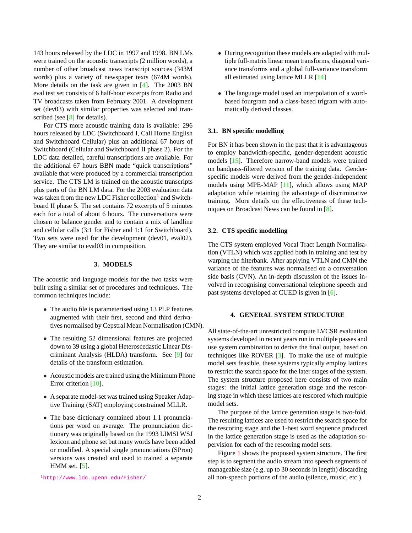<span id="page-1-0"></span>143 hours released by the LDC in 1997 and 1998. BN LMs were trained on the acoustic transcripts (2 million words), a number of other broadcast news transcript sources (343M words) plus a variety of newspaper texts (674M words). More details on the task are given in [\[4\]](#page-5-0). The 2003 BN eval test set consists of 6 half-hour excerpts from Radio and TV broadcasts taken from February 2001. A development set (dev03) with similar properties was selected and tran-scribed (see [\[8\]](#page-5-0) for details).

For CTS more acoustic training data is available: 296 hours released by LDC (Switchboard I, Call Home English and Switchboard Cellular) plus an additional 67 hours of Switchboard (Cellular and Switchboard II phase 2). For the LDC data detailed, careful transcriptions are available. For the additional 67 hours BBN made "quick transcriptions" available that were produced by a commercial transcription service. The CTS LM is trained on the acoustic transcripts plus parts of the BN LM data. For the 2003 evaluation data was taken from the new LDC Fisher collection<sup>1</sup> and Switchboard II phase 5. The set contains 72 excerpts of 5 minutes each for a total of about 6 hours. The conversations were chosen to balance gender and to contain a mix of landline and cellular calls (3:1 for Fisher and 1:1 for Switchboard). Two sets were used for the development (dev01, eval02). They are similar to eval03 in composition.

#### **3. MODELS**

The acoustic and language models for the two tasks were built using a similar set of procedures and techniques. The common techniques include:

- The audio file is parameterised using 13 PLP features augmented with their first, second and third derivatives normalised by Cepstral Mean Normalisation (CMN).
- The resulting 52 dimensional features are projected down to 39 using a global Heteroscedastic Linear Discriminant Analysis (HLDA) transform. See [\[9\]](#page-5-0) for details of the transform estimation.
- Acoustic models are trained using the Minimum Phone Error criterion [\[10\]](#page-5-0).
- A separate model-set was trained using Speaker Adaptive Training (SAT) employing constrained MLLR.
- The base dictionary contained about 1.1 pronunciations per word on average. The pronunciation dictionary was originally based on the 1993 LIMSI WSJ lexicon and phone set but many words have been added or modified. A special single pronunciations (SPron) versions was created and used to trained a separate HMM set. [\[5\]](#page-5-0).
- During recognition these models are adapted with multiple full-matrix linear mean transforms, diagonal variance transforms and a global full-variance transform all estimated using lattice MLLR [\[14\]](#page-5-0)
- The language model used an interpolation of a wordbased fourgram and a class-based trigram with automatically derived classes.

#### **3.1. BN specific modelling**

For BN it has been shown in the past that it is advantageous to employ bandwidth-specific, gender-dependent acoustic models [\[15\]](#page-5-0). Therefore narrow-band models were trained on bandpass-filtered version of the training data. Genderspecific models were derived from the gender-independent models using MPE-MAP [\[11\]](#page-5-0), which allows using MAP adaptation while retaining the advantage of discriminative training. More details on the effectiveness of these techniques on Broadcast News can be found in [\[8\]](#page-5-0).

#### **3.2. CTS specific modelling**

The CTS system employed Vocal Tract Length Normalisation (VTLN) which was applied both in training and test by warping the filterbank. After applying VTLN and CMN the variance of the features was normalised on a conversation side basis (CVN). An in-depth discussion of the issues involved in recognising conversational telephone speech and past systems developed at CUED is given in [\[6\]](#page-5-0).

# **4. GENERAL SYSTEM STRUCTURE**

All state-of-the-art unrestricted compute LVCSR evaluation systems developed in recent years run in multiple passes and use system combination to derive the final output, based on techniques like ROVER [\[3\]](#page-5-0). To make the use of multiple model sets feasible, these systems typically employ lattices to restrict the search space for the later stages of the system. The system structure proposed here consists of two main stages: the initial lattice generation stage and the rescoring stage in which these lattices are rescored which multiple model sets.

The purpose of the lattice generation stage is two-fold. The resulting lattices are used to restrict the search space for the rescoring stage and the 1-best word sequence produced in the lattice generation stage is used as the adaptation supervision for each of the rescoring model sets.

Figure [1](#page-2-0) shows the proposed system structure. The first step is to segment the audio stream into speech segments of manageable size (e.g. up to 30 seconds in length) discarding all non-speech portions of the audio (silence, music, etc.).

<sup>1</sup><http://www.ldc.upenn.edu/Fisher/>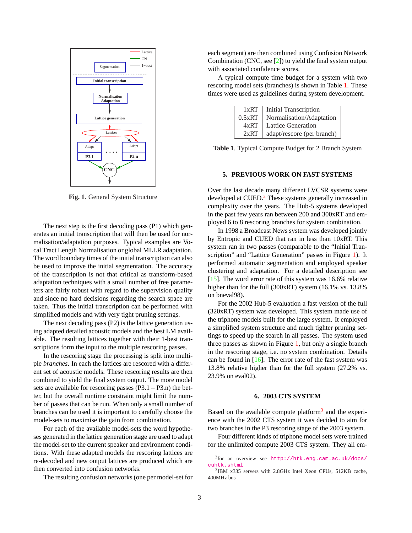<span id="page-2-0"></span>

**Fig. 1**. General System Structure

The next step is the first decoding pass (P1) which generates an initial transcription that will then be used for normalisation/adaptation purposes. Typical examples are Vocal Tract Length Normalisation or global MLLR adaptation. The word boundary times of the initial transcription can also be used to improve the initial segmentation. The accuracy of the transcription is not that critical as transform-based adaptation techniques with a small number of free parameters are fairly robust with regard to the supervision quality and since no hard decisions regarding the search space are taken. Thus the initial transcription can be performed with simplified models and with very tight pruning settings.

The next decoding pass (P2) is the lattice generation using adapted detailed acoustic models and the best LM available. The resulting lattices together with their 1-best transcriptions form the input to the multiple rescoring passes.

In the rescoring stage the processing is split into multiple *branches*. In each the lattices are rescored with a different set of acoustic models. These rescoring results are then combined to yield the final system output. The more model sets are available for rescoring passes (P3.1 – P3.n) the better, but the overall runtime constraint might limit the number of passes that can be run. When only a small number of branches can be used it is important to carefully choose the model-sets to maximise the gain from combination.

For each of the available model-sets the word hypotheses generated in the lattice generation stage are used to adapt the model-set to the current speaker and environment conditions. With these adapted models the rescoring lattices are re-decoded and new output lattices are produced which are then converted into confusion networks.

The resulting confusion networks (one per model-set for

each segment) are then combined using Confusion Network Combination (CNC, see [\[2\]](#page-5-0)) to yield the final system output with associated confidence scores.

A typical compute time budget for a system with two rescoring model sets (branches) is shown in Table 1. These times were used as guidelines during system development.

|        | 1xRT   Initial Transcription        |  |
|--------|-------------------------------------|--|
| 0.5xRT | Normalisation/Adaptation            |  |
| 4xRT   | Lattice Generation                  |  |
|        | $2xRT$   adapt/rescore (per branch) |  |

**Table 1**. Typical Compute Budget for 2 Branch System

## **5. PREVIOUS WORK ON FAST SYSTEMS**

Over the last decade many different LVCSR systems were developed at CUED.<sup>2</sup> These systems generally increased in complexity over the years. The Hub-5 systems developed in the past few years ran between 200 and 300xRT and employed 6 to 8 rescoring branches for system combination.

In 1998 a Broadcast News system was developed jointly by Entropic and CUED that ran in less than 10xRT. This system ran in two passes (comparable to the "Initial Transcription" and "Lattice Generation" passes in Figure 1). It performed automatic segmentation and employed speaker clustering and adaptation. For a detailed description see [ $15$ ]. The word error rate of this system was 16.6% relative higher than for the full (300xRT) system (16.1% vs. 13.8% on bneval98).

For the 2002 Hub-5 evaluation a fast version of the full (320xRT) system was developed. This system made use of the triphone models built for the large system. It employed a simplified system structure and much tighter pruning settings to speed up the search in all passes. The system used three passes as shown in Figure 1, but only a single branch in the rescoring stage, i.e. no system combination. Details can be found in  $[16]$ . The error rate of the fast system was 13.8% relative higher than for the full system (27.2% vs. 23.9% on eval02).

#### **6. 2003 CTS SYSTEM**

Based on the available compute platform<sup>3</sup> and the experience with the 2002 CTS system it was decided to aim for two branches in the P3 rescoring stage of the 2003 system.

Four different kinds of triphone model sets were trained for the unlimited compute 2003 CTS system. They all em-

<sup>2</sup> for an overview see [http://htk.eng.cam.ac.uk/docs/](http://htk.eng.cam.ac.uk/docs/cuhtk.shtml) [cuhtk.shtml](http://htk.eng.cam.ac.uk/docs/cuhtk.shtml)

<sup>3</sup> IBM x335 servers with 2.8GHz Intel Xeon CPUs, 512KB cache, 400MHz bus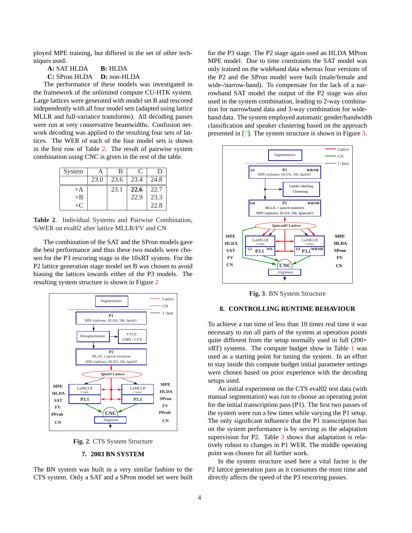<span id="page-3-0"></span>ployed MPE training, but differed in the set of other techniques used:

**A:** SAT HLDA **B:** HLDA

**C:** SPron HLDA **D:** non-HLDA

The performance of these models was investigated in the framework of the unlimited compute CU-HTK system. Large lattices were generated with model set B and rescored independently with all four model sets (adapted using lattice MLLR and full-variance transforms). All decoding passes were run at very conservative beamwidths. Confusion network decoding was applied to the resulting four sets of lattices. The WER of each of the four model sets is shown in the first row of Table 2. The result of pairwise system combination using CNC is given in the rest of the table.

| System        |      | B    |      | Ð    |
|---------------|------|------|------|------|
|               | 23.0 | 23.6 | 23.4 | 24.8 |
| $+A$          |      | 23.1 | 22.6 | 22.7 |
| $+B$          |      |      | 22.9 | 23.3 |
| $+$ ( $\cdot$ |      |      |      | 22.8 |

**Table 2**. Individual Systems and Pairwise Combination, %WER on eval02 after lattice MLLR/FV and CN

The combination of the SAT and the SPron models gave the best performance and thus these two models were chosen for the P3 rescoring stage in the 10xRT system. For the P2 lattice generation stage model set B was chosen to avoid biasing the lattices towards either of the P3 models. The resulting system structure is shown in Figure 2



**Fig. 2**. CTS System Structure

### **7. 2003 BN SYSTEM**

The BN system was built in a very similar fashion to the CTS system. Only a SAT and a SPron model set were built

for the P3 stage. The P2 stage again used an HLDA MPron MPE model. Due to time constraints the SAT model was only trained on the wideband data whereas four versions of the P2 and the SPron model were built (male/female and wide-/narrow-band). To compensate for the lack of a narrowband SAT model the output of the P2 stage was also used in the system combination, leading to 2-way combination for narrowband data and 3-way combination for wideband data. The system employed automatic gender/bandwidth classification and speaker clustering based on the approach presented in [\[7\]](#page-5-0). The system structure is shown in Figure 3.



**Fig. 3**. BN System Structure

### **8. CONTROLLING RUNTIME BEHAVIOUR**

To achieve a run time of less than 10 times real time it was necessary to run all parts of the system at operation points quite different from the setup normally used in full (200+ xRT) systems. The compute budget show in Table [1](#page-2-0) was used as a starting point for tuning the system. In an effort to stay inside this compute budget initial parameter settings were chosen based on prior experience with the decoding setups used.

An initial experiment on the CTS eval02 test data (with manual segmentation) was run to choose an operating point for the initial transcription pass (P1). The first two passes of the system were run a few times while varying the P1 setup. The only significant influence that the P1 transcription has on the system performance is by serving as the adaptation supervision for P2. Table [3](#page-4-0) shows that adaptation is relatively robust to changes in P1 WER. The middle operating point was chosen for all further work.

In the system structure used here a vital factor is the P2 lattice generation pass as it consumes the most time and directly affects the speed of the P3 rescoring passes.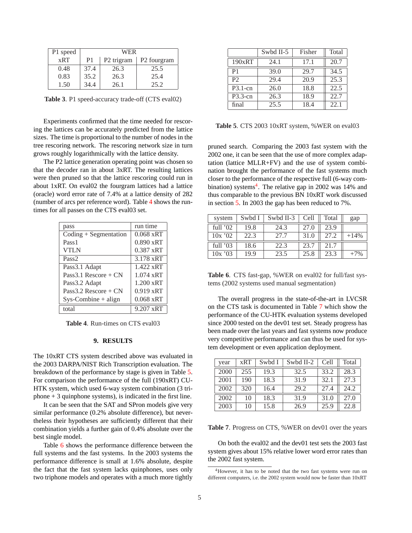<span id="page-4-0"></span>

| P1 speed | WER            |                        |                         |  |
|----------|----------------|------------------------|-------------------------|--|
| xRT      | P <sub>1</sub> | P <sub>2</sub> trigram | P <sub>2</sub> fourgram |  |
| 0.48     | 37.4           | 26.3                   | 25.5                    |  |
| 0.83     | 35.2           | 26.3                   | 25.4                    |  |
| 1.50     | 34.4           | 26.1                   | 25.2                    |  |

**Table 3**. P1 speed-accuracy trade-off (CTS eval02)

Experiments confirmed that the time needed for rescoring the lattices can be accurately predicted from the lattice sizes. The time is proportional to the number of nodes in the tree rescoring network. The rescoring network size in turn grows roughly logarithmically with the lattice density.

The P2 lattice generation operating point was chosen so that the decoder ran in about 3xRT. The resulting lattices were then pruned so that the lattice rescoring could run in about 1xRT. On eval02 the fourgram lattices had a lattice (oracle) word error rate of 7.4% at a lattice density of 282 (number of arcs per reference word). Table 4 shows the runtimes for all passes on the CTS eval03 set.

| pass                                  | run time            |  |  |
|---------------------------------------|---------------------|--|--|
| $\text{Coding} + \text{Segmentation}$ | $0.068 \text{ xRT}$ |  |  |
| Pass <sub>1</sub>                     | 0.890 xRT           |  |  |
| <b>VTLN</b>                           | $0.387$ xRT         |  |  |
| Pass <sub>2</sub>                     | 3.178 xRT           |  |  |
| Pass3.1 Adapt                         | $1.422 \text{ xRT}$ |  |  |
| Pass 3.1 Rescore + $CN$               | $1.074$ xRT         |  |  |
| Pass3.2 Adapt                         | $1.200$ xRT         |  |  |
| Pass 3.2 Rescore + $CN$               | 0.919 xRT           |  |  |
| $Sys-Combine + align$                 | $0.068 \text{ xRT}$ |  |  |
| total                                 | 9.207 xRT           |  |  |

**Table 4**. Run-times on CTS eval03

## **9. RESULTS**

The 10xRT CTS system described above was evaluated in the 2003 DARPA/NIST Rich Transcription evaluation. The breakdown of the performance by stage is given in Table 5. For comparison the performance of the full (190xRT) CU-HTK system, which used 6-way system combination (3 triphone  $+3$  quinphone systems), is indicated in the first line.

It can be seen that the SAT and SPron models give very similar performance (0.2% absolute difference), but nevertheless their hypotheses are sufficiently different that their combination yields a further gain of 0.4% absolute over the best single model.

Table 6 shows the performance difference between the full systems and the fast systems. In the 2003 systems the performance difference is small at 1.6% absolute, despite the fact that the fast system lacks quinphones, uses only two triphone models and operates with a much more tightly

|                | Swbd II-5 | Fisher | Total             |
|----------------|-----------|--------|-------------------|
| 190xRT         | 24.1      | 17.1   | 20.7              |
| P <sub>1</sub> | 39.0      | 29.7   | 34.5              |
| P <sub>2</sub> | 29.4      | 20.9   | $\overline{25.3}$ |
| $P3.1$ -cn     | 26.0      | 18.8   | 22.5              |
| $P3.3$ -cn     | 26.3      | 18.9   | 22.7              |
| final          | 25.5      | 18.4   | 22.1              |

**Table 5**. CTS 2003 10xRT system, %WER on eval03

pruned search. Comparing the 2003 fast system with the 2002 one, it can be seen that the use of more complex adaptation (lattice MLLR+FV) and the use of system combination brought the performance of the fast systems much closer to the performance of the respective full (6-way combination) systems<sup>4</sup>. The relative gap in 2002 was 14% and thus comparable to the previous BN 10xRT work discussed in section [5.](#page-2-0) In 2003 the gap has been reduced to 7%.

| system     | Swbd I | Swbd II-3 | Cell | Total | gap    |
|------------|--------|-----------|------|-------|--------|
| full $'02$ | 19.8   | 24.3      | 27.0 | 23.9  |        |
| 10x'02     | 22.3   | 27.7      | 31.0 | 27.2  | $+14%$ |
| full $'03$ | 18.6   | 22.3      | 23.7 | 21.7  |        |
| 10x'03     | 19.9   | 23.5      | 25.8 | 23.3  | $+7%$  |

**Table 6**. CTS fast-gap, %WER on eval02 for full/fast systems (2002 systems used manual segmentation)

The overall progress in the state-of-the-art in LVCSR on the CTS task is documented in Table 7 which show the performance of the CU-HTK evaluation systems developed since 2000 tested on the dev01 test set. Steady progress has been made over the last years and fast systems now produce very competitive performance and can thus be used for system development or even application deployment.

| year | <b>xRT</b> | Swbd I | Swbd II-2 | Cell | Total |
|------|------------|--------|-----------|------|-------|
| 2000 | 255        | 19.3   | 32.5      | 33.2 | 28.3  |
| 2001 | 190        | 18.3   | 31.9      | 32.1 | 27.3  |
| 2002 | 320        | 16.4   | 29.2      | 27.4 | 24.2  |
| 2002 | 10         | 18.3   | 31.9      | 31.0 | 27.0  |
| 2003 | 10         | 15.8   | 26.9      | 25.9 | 22.8  |

**Table 7.** Progress on CTS, %WER on dev01 over the years

On both the eval02 and the dev01 test sets the 2003 fast system gives about 15% relative lower word error rates than the 2002 fast system.

<sup>4</sup>However, it has to be noted that the two fast systems were run on different computers, i.e. the 2002 system would now be faster than 10xRT